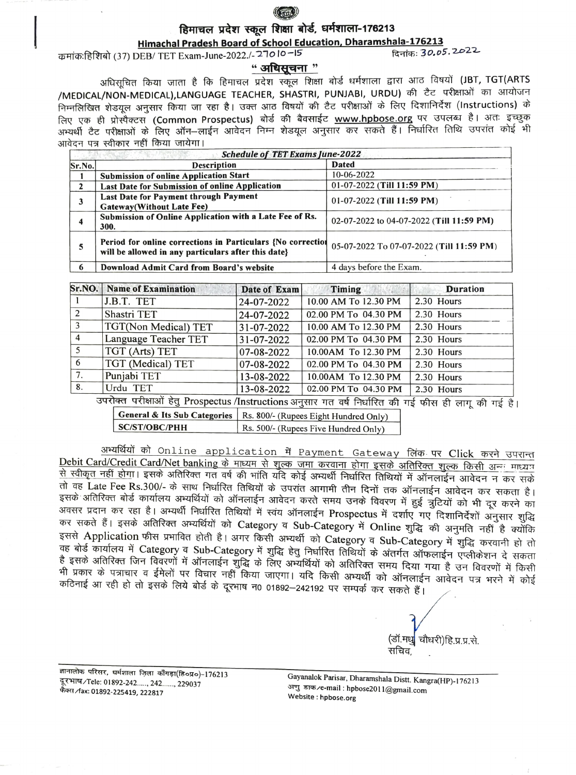

# हिमाचल प्रदेश स्कूल शिक्षा बोर्ड, धर्मशाला-176213<br>Himachal Pradesh Board of School Education, Dharamshala-176213

Himachal Pradesh Board of School Education, Dharamshala-176213 HiffrAT (37) DEB/ TET Exam-June-2022./-210 lo-I5 R5: 30.o5. 2022

### " अधिसूचना "

अधिसूचित किया जाता है कि हिमाचल प्रदेश स्कूल शिक्षा बोर्ड धर्मशाला द्वारा आठ विषयों (JBT, TGT(ARTS<br>/MEDICAL/NON-MEDICAL),LANGUAGE TEACHER, SHASTRI, PUNJABI, URDU) की टैट परीक्षाओं का आयोजन<br>निम्नलिखित शेडयूल अनुसार किया जा लिए एक ही प्रोस्पैक्टस (Common Prospectus) बोर्ड की बैवसाईट <u>www.hpbose.org</u> पर उपलब्ध है। अतः इच्छुक<br>अभ्यर्थी टैट परीक्षाओं के लिए ऑन–लाईन आवेदन निम्न शेडयूल अनुसार कर सकते हैं। निर्धारित तिथि उपरांत कोई भी आवेदन पत्र स्वीकार नहीं किया जायेगा।

|                | <b>Schedule of TET Exams June-2022</b>                                                                             |                                          |  |  |  |
|----------------|--------------------------------------------------------------------------------------------------------------------|------------------------------------------|--|--|--|
| $\vert$ Sr.No. | <b>Description</b>                                                                                                 | <b>Dated</b>                             |  |  |  |
|                | <b>Submission of online Application Start</b>                                                                      | 10-06-2022                               |  |  |  |
|                | Last Date for Submission of online Application                                                                     | $01-07-2022$ (Till 11:59 PM)             |  |  |  |
|                | Last Date for Payment through Payment<br><b>Gateway</b> (Without Late Fee)                                         | $01-07-2022$ (Till 11:59 PM)             |  |  |  |
|                | Submission of Online Application with a Late Fee of Rs.<br>300.                                                    | 02-07-2022 to 04-07-2022 (Till 11:59 PM) |  |  |  |
|                | Period for online corrections in Particulars {No correction<br>will be allowed in any particulars after this date} | 05-07-2022 To 07-07-2022 (Till 11:59 PM) |  |  |  |
|                | Download Admit Card from Board's website                                                                           | 4 days before the Exam.                  |  |  |  |

|                | Sr.NO. Name of Examination | Date of Exam | <b>Timing</b>        | <b>Duration</b> |
|----------------|----------------------------|--------------|----------------------|-----------------|
|                | J.B.T. TET                 | 24-07-2022   | 10.00 AM To 12.30 PM | 2.30 Hours      |
| 2              | Shastri TET                | 24-07-2022   | 02.00 PM To 04.30 PM | 2.30 Hours      |
|                | TGT(Non Medical) TET       | 31-07-2022   | 10.00 AM To 12.30 PM | 2.30 Hours      |
| $\overline{4}$ | Language Teacher TET       | 31-07-2022   | 02.00 PM To 04.30 PM | 2.30 Hours      |
|                | TGT (Arts) TET             | 07-08-2022   | 10.00AM To 12.30 PM  | 2.30 Hours      |
| 6              | TGT (Medical) TET          | 07-08-2022   | 02.00 PM To 04.30 PM | 2.30 Hours      |
| 7.             | Punjabi TET                | 13-08-2022   | 10.00AM To 12.30 PM  | 2.30 Hours      |
| 8.             | Urdu TET<br>______         | 13-08-2022   | 02.00 PM To 04.30 PM | 2.30 Hours      |

उपरोक्त परीक्षाओं हेतु Prospectus /Instructions अनुसार गत वर्ष निर्धारित की गई फीस ही लाग की गई है।

General & Its Sub Categories Rs. 800/- (Rupees Eight Hundred Only)<br>SC/ST/OBC/PHH Rs. 500/- (Rupees Five Hundred Only)

अभ्यर्थियों को Online application में Payment Gateway लिंक पर Click करने उपरान्त Debit Card/Credit Card/Net banking के माध्यम से शुल्क जमा करवाना होगा इसके अतिरिक्त शुल्क किसी अन्य माध्यम<br>से स्वीकृत नहीं होगा। इसके अतिरिक्त गत वर्ष की भांति यदि कोई अभ्यर्थी निर्धारित तिथियों में ऑनलाईन आवेदन न कर सके a aE Late Fee Rs.300/- FPY AuRT AfRud RTT 3HTTAT Gi fi TH 3TOI HTdE HY HHT I ्<br>अवसर प्रदान कर रहा है। अभ्यर्थी निर्धारित तिथियों में स्वंय ऑनलाईन Prospectus में दर्शाए गए दिशानिर्देशों अनुसार शुद्धि<br>कर सकते हैं। इसके अतिरिक्त अभ्यर्थियों को Category व Sub-Category में Online शुद्धि की अनुमति नहीं इससे Application फीस प्रभावित होती है। अगर किसी अभ्यर्थी को Category व Sub-Category में शुद्धि करवानी हो तो<br>वह बोर्ड कार्यालय में Category व Sub-Category में शुद्धि हेतु निर्धारित तिथियों के अंतर्गत ऑफलाईन एप्लीकेशन दे सक ्तः बार्ड कार्यालय में Category व Sub-Category में शुद्धि हेतु निर्धारित तिथियों के अंतर्गत ऑफलाईन एप्लीकेशन दे सकता<br>है इसके अतिरिक्त जिन विवरणों में ऑनलाईन शुद्धि के लिए अभ्यर्थियों को अतिरिक्त समय दिया गया है उन विवरणों कठिनाई आ रही हो तो इसके लिये बोर्ड के दूरभाष न0 01892-242192 पर सम्पर्क कर सकते हैं।

(डॉ.मधु| चौधरी)हि.प्र.प्र.से.<br>सचिव

ज्ञानालोक परिसर, धर्मशाला ज़िला कॉॅंगड़ा(हि०प्र०)-176213 दूरभाष⁄Tele: 01892-242....., 242......, 229037 फैक्स / fax: 01892-225419, 222817

Gayanalok Parisar, Dharamshala Distt. Kangra(HP)-176213<br>अणु डाक ⁄e-mail: hpbose2011@gmail.com<br>Website : hpbose.org अणु डाक /e-mail : hpbose2011@gmail.com